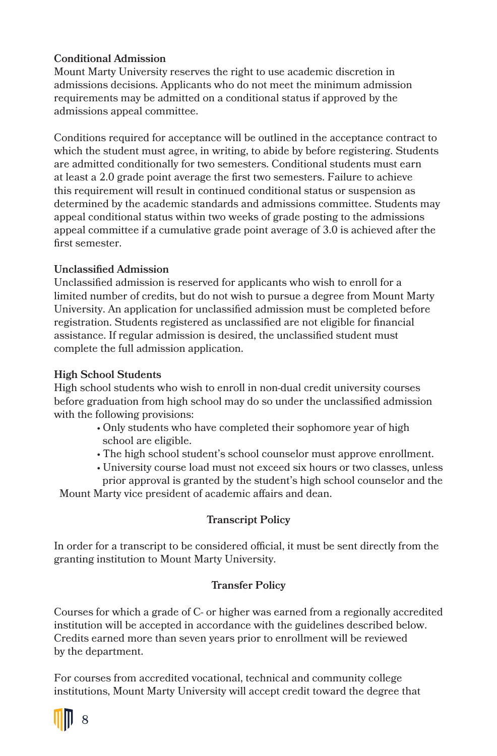# **Conditional Admission**

Mount Marty University reserves the right to use academic discretion in admissions decisions. Applicants who do not meet the minimum admission requirements may be admitted on a conditional status if approved by the admissions appeal committee.

Conditions required for acceptance will be outlined in the acceptance contract to which the student must agree, in writing, to abide by before registering. Students are admitted conditionally for two semesters. Conditional students must earn at least a 2.0 grade point average the first two semesters. Failure to achieve this requirement will result in continued conditional status or suspension as determined by the academic standards and admissions committee. Students may appeal conditional status within two weeks of grade posting to the admissions appeal committee if a cumulative grade point average of 3.0 is achieved after the first semester.

# **Unclassified Admission**

Unclassified admission is reserved for applicants who wish to enroll for a limited number of credits, but do not wish to pursue a degree from Mount Marty University. An application for unclassified admission must be completed before registration. Students registered as unclassified are not eligible for financial assistance. If regular admission is desired, the unclassified student must complete the full admission application.

# **High School Students**

High school students who wish to enroll in non-dual credit university courses before graduation from high school may do so under the unclassified admission with the following provisions:

- Only students who have completed their sophomore year of high school are eligible.
- The high school student's school counselor must approve enrollment.
- University course load must not exceed six hours or two classes, unless prior approval is granted by the student's high school counselor and the

Mount Marty vice president of academic affairs and dean.

### **Transcript Policy**

In order for a transcript to be considered official, it must be sent directly from the granting institution to Mount Marty University.

### **Transfer Policy**

Courses for which a grade of C- or higher was earned from a regionally accredited institution will be accepted in accordance with the guidelines described below. Credits earned more than seven years prior to enrollment will be reviewed by the department.

For courses from accredited vocational, technical and community college institutions, Mount Marty University will accept credit toward the degree that